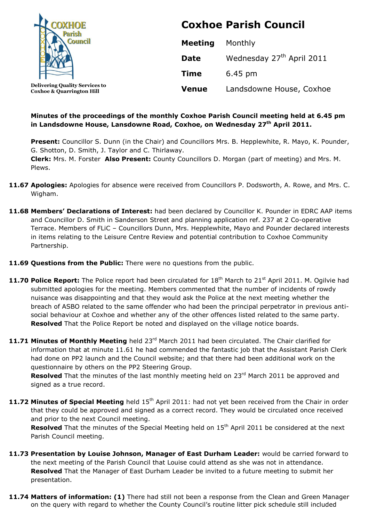

**Coxhoe & Quarrington Hill**

# **Coxhoe Parish Council**

| <b>Meeting</b> | Monthly                               |
|----------------|---------------------------------------|
| <b>Date</b>    | Wednesday 27 <sup>th</sup> April 2011 |
| <b>Time</b>    | 6.45 pm                               |
| <b>Venue</b>   | Landsdowne House, Coxhoe              |

## **Minutes of the proceedings of the monthly Coxhoe Parish Council meeting held at 6.45 pm in Landsdowne House, Lansdowne Road, Coxhoe, on Wednesday 27 th April 2011.**

Present: Councillor S. Dunn (in the Chair) and Councillors Mrs. B. Hepplewhite, R. Mayo, K. Pounder, G. Shotton, D. Smith, J. Taylor and C. Thirlaway.

**Clerk:** Mrs. M. Forster **Also Present:** County Councillors D. Morgan (part of meeting) and Mrs. M. Plews.

- **11.67 Apologies:** Apologies for absence were received from Councillors P. Dodsworth, A. Rowe, and Mrs. C. Wigham.
- **11.68 Members' Declarations of Interest:** had been declared by Councillor K. Pounder in EDRC AAP items and Councillor D. Smith in Sanderson Street and planning application ref. 237 at 2 Co-operative Terrace. Members of FLiC – Councillors Dunn, Mrs. Hepplewhite, Mayo and Pounder declared interests in items relating to the Leisure Centre Review and potential contribution to Coxhoe Community Partnership.
- **11.69 Questions from the Public:** There were no questions from the public.
- **11.70 Police Report:** The Police report had been circulated for 18<sup>th</sup> March to 21<sup>st</sup> April 2011. M. Ogilvie had submitted apologies for the meeting. Members commented that the number of incidents of rowdy nuisance was disappointing and that they would ask the Police at the next meeting whether the breach of ASBO related to the same offender who had been the principal perpetrator in previous antisocial behaviour at Coxhoe and whether any of the other offences listed related to the same party. **Resolved** That the Police Report be noted and displayed on the village notice boards.
- 11.71 Minutes of Monthly Meeting held 23<sup>rd</sup> March 2011 had been circulated. The Chair clarified for information that at minute 11.61 he had commended the fantastic job that the Assistant Parish Clerk had done on PP2 launch and the Council website; and that there had been additional work on the questionnaire by others on the PP2 Steering Group.

Resolved That the minutes of the last monthly meeting held on 23<sup>rd</sup> March 2011 be approved and signed as a true record.

11.72 Minutes of Special Meeting held 15<sup>th</sup> April 2011: had not yet been received from the Chair in order that they could be approved and signed as a correct record. They would be circulated once received and prior to the next Council meeting.

**Resolved** That the minutes of the Special Meeting held on 15<sup>th</sup> April 2011 be considered at the next Parish Council meeting.

- **11.73 Presentation by Louise Johnson, Manager of East Durham Leader:** would be carried forward to the next meeting of the Parish Council that Louise could attend as she was not in attendance. **Resolved** That the Manager of East Durham Leader be invited to a future meeting to submit her presentation.
- **11.74 Matters of information: (1)** There had still not been a response from the Clean and Green Manager on the query with regard to whether the County Council's routine litter pick schedule still included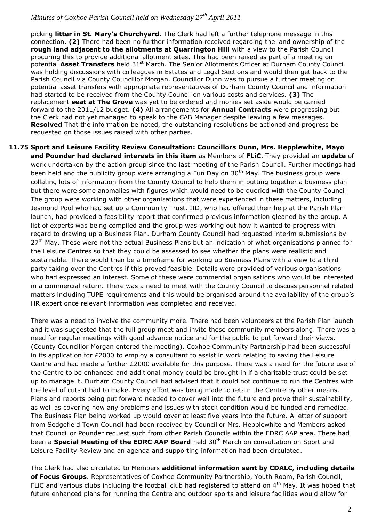picking **litter in St. Mary's Churchyard**. The Clerk had left a further telephone message in this connection. **(2)** There had been no further information received regarding the land ownership of the **rough land adjacent to the allotments at Quarrington Hill** with a view to the Parish Council procuring this to provide additional allotment sites. This had been raised as part of a meeting on potential **Asset Transfers** held 31<sup>st</sup> March. The Senior Allotments Officer at Durham County Council was holding discussions with colleagues in Estates and Legal Sections and would then get back to the Parish Council via County Councillor Morgan. Councillor Dunn was to pursue a further meeting on potential asset transfers with appropriate representatives of Durham County Council and information had started to be received from the County Council on various costs and services. **(3)** The replacement **seat at The Grove** was yet to be ordered and monies set aside would be carried forward to the 2011/12 budget. **(4)** All arrangements for **Annual Contracts** were progressing but the Clerk had not yet managed to speak to the CAB Manager despite leaving a few messages. **Resolved** That the information be noted, the outstanding resolutions be actioned and progress be requested on those issues raised with other parties.

**11.75 Sport and Leisure Facility Review Consultation: Councillors Dunn, Mrs. Hepplewhite, Mayo and Pounder had declared interests in this item** as Members of **FLiC**. They provided an **update** of work undertaken by the action group since the last meeting of the Parish Council. Further meetings had been held and the publicity group were arranging a Fun Day on 30<sup>th</sup> May. The business group were collating lots of information from the County Council to help them in putting together a business plan but there were some anomalies with figures which would need to be queried with the County Council. The group were working with other organisations that were experienced in these matters, including Jesmond Pool who had set up a Community Trust. IID, who had offered their help at the Parish Plan launch, had provided a feasibility report that confirmed previous information gleaned by the group. A list of experts was being compiled and the group was working out how it wanted to progress with regard to drawing up a Business Plan. Durham County Council had requested interim submissions by  $27<sup>th</sup>$  May. These were not the actual Business Plans but an indication of what organisations planned for the Leisure Centres so that they could be assessed to see whether the plans were realistic and sustainable. There would then be a timeframe for working up Business Plans with a view to a third party taking over the Centres if this proved feasible. Details were provided of various organisations who had expressed an interest. Some of these were commercial organisations who would be interested in a commercial return. There was a need to meet with the County Council to discuss personnel related matters including TUPE requirements and this would be organised around the availability of the group's HR expert once relevant information was completed and received.

There was a need to involve the community more. There had been volunteers at the Parish Plan launch and it was suggested that the full group meet and invite these community members along. There was a need for regular meetings with good advance notice and for the public to put forward their views. (County Councillor Morgan entered the meeting). Coxhoe Community Partnership had been successful in its application for £2000 to employ a consultant to assist in work relating to saving the Leisure Centre and had made a further £2000 available for this purpose. There was a need for the future use of the Centre to be enhanced and additional money could be brought in if a charitable trust could be set up to manage it. Durham County Council had advised that it could not continue to run the Centres with the level of cuts it had to make. Every effort was being made to retain the Centre by other means. Plans and reports being put forward needed to cover well into the future and prove their sustainability, as well as covering how any problems and issues with stock condition would be funded and remedied. The Business Plan being worked up would cover at least five years into the future. A letter of support from Sedgefield Town Council had been received by Councillor Mrs. Hepplewhite and Members asked that Councillor Pounder request such from other Parish Councils within the EDRC AAP area. There had been a **Special Meeting of the EDRC AAP Board** held 30<sup>th</sup> March on consultation on Sport and Leisure Facility Review and an agenda and supporting information had been circulated.

The Clerk had also circulated to Members **additional information sent by CDALC, including details of Focus Groups**. Representatives of Coxhoe Community Partnership, Youth Room, Parish Council, FLIC and various clubs including the football club had registered to attend on  $4<sup>th</sup>$  May. It was hoped that future enhanced plans for running the Centre and outdoor sports and leisure facilities would allow for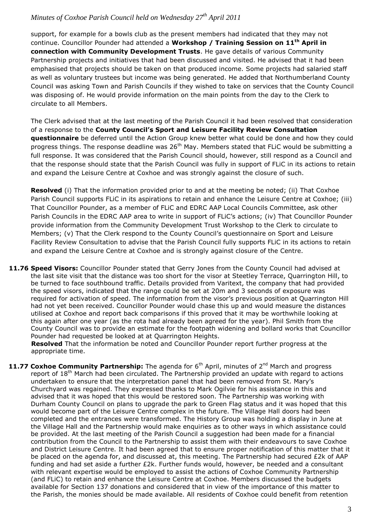support, for example for a bowls club as the present members had indicated that they may not continue. Councillor Pounder had attended a **Workshop / Training Session on 11th April in connection with Community Development Trusts**. He gave details of various Community Partnership projects and initiatives that had been discussed and visited. He advised that it had been emphasised that projects should be taken on that produced income. Some projects had salaried staff as well as voluntary trustees but income was being generated. He added that Northumberland County Council was asking Town and Parish Councils if they wished to take on services that the County Council was disposing of. He would provide information on the main points from the day to the Clerk to circulate to all Members.

The Clerk advised that at the last meeting of the Parish Council it had been resolved that consideration of a response to the **County Council's Sport and Leisure Facility Review Consultation questionnaire** be deferred until the Action Group knew better what could be done and how they could progress things. The response deadline was  $26<sup>th</sup>$  May. Members stated that FLiC would be submitting a full response. It was considered that the Parish Council should, however, still respond as a Council and that the response should state that the Parish Council was fully in support of FLiC in its actions to retain and expand the Leisure Centre at Coxhoe and was strongly against the closure of such.

**Resolved** (i) That the information provided prior to and at the meeting be noted; (ii) That Coxhoe Parish Council supports FLiC in its aspirations to retain and enhance the Leisure Centre at Coxhoe; (iii) That Councillor Pounder, as a member of FLiC and EDRC AAP Local Councils Committee, ask other Parish Councils in the EDRC AAP area to write in support of FLiC's actions; (iv) That Councillor Pounder provide information from the Community Development Trust Workshop to the Clerk to circulate to Members; (v) That the Clerk respond to the County Council's questionnaire on Sport and Leisure Facility Review Consultation to advise that the Parish Council fully supports FLiC in its actions to retain and expand the Leisure Centre at Coxhoe and is strongly against closure of the Centre.

**11.76 Speed Visors:** Councillor Pounder stated that Gerry Jones from the County Council had advised at the last site visit that the distance was too short for the visor at Steetley Terrace, Quarrington Hill, to be turned to face southbound traffic. Details provided from Varitext, the company that had provided the speed visors, indicated that the range could be set at 20m and 3 seconds of exposure was required for activation of speed. The information from the visor's previous position at Quarrington Hill had not yet been received. Councillor Pounder would chase this up and would measure the distances utilised at Coxhoe and report back comparisons if this proved that it may be worthwhile looking at this again after one year (as the rota had already been agreed for the year). Phil Smith from the County Council was to provide an estimate for the footpath widening and bollard works that Councillor Pounder had requested be looked at at Quarrington Heights.

**Resolved** That the information be noted and Councillor Pounder report further progress at the appropriate time.

**11.77 Coxhoe Community Partnership:** The agenda for 6<sup>th</sup> April, minutes of 2<sup>nd</sup> March and progress report of 18<sup>th</sup> March had been circulated. The Partnership provided an update with regard to actions undertaken to ensure that the interpretation panel that had been removed from St. Mary's Churchyard was regained. They expressed thanks to Mark Ogilvie for his assistance in this and advised that it was hoped that this would be restored soon. The Partnership was working with Durham County Council on plans to upgrade the park to Green Flag status and it was hoped that this would become part of the Leisure Centre complex in the future. The Village Hall doors had been completed and the entrances were transformed. The History Group was holding a display in June at the Village Hall and the Partnership would make enquiries as to other ways in which assistance could be provided. At the last meeting of the Parish Council a suggestion had been made for a financial contribution from the Council to the Partnership to assist them with their endeavours to save Coxhoe and District Leisure Centre. It had been agreed that to ensure proper notification of this matter that it be placed on the agenda for, and discussed at, this meeting. The Partnership had secured £2k of AAP funding and had set aside a further £2k. Further funds would, however, be needed and a consultant with relevant expertise would be employed to assist the actions of Coxhoe Community Partnership (and FLiC) to retain and enhance the Leisure Centre at Coxhoe. Members discussed the budgets available for Section 137 donations and considered that in view of the importance of this matter to the Parish, the monies should be made available. All residents of Coxhoe could benefit from retention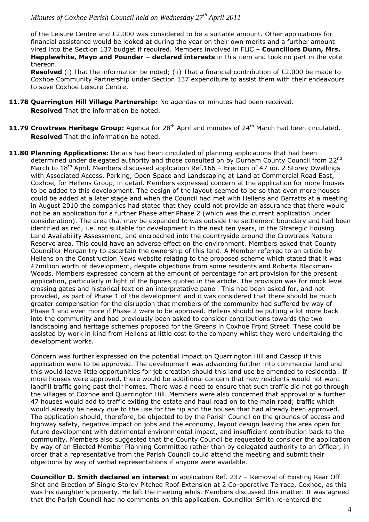of the Leisure Centre and £2,000 was considered to be a suitable amount. Other applications for financial assistance would be looked at during the year on their own merits and a further amount vired into the Section 137 budget if required. Members involved in FLiC – **Councillors Dunn, Mrs. Hepplewhite, Mayo and Pounder – declared interests** in this item and took no part in the vote thereon.

**Resolved** (i) That the information be noted; (ii) That a financial contribution of £2,000 be made to Coxhoe Community Partnership under Section 137 expenditure to assist them with their endeavours to save Coxhoe Leisure Centre.

- **11.78 Quarrington Hill Village Partnership:** No agendas or minutes had been received. **Resolved** That the information be noted.
- **11.79 Crowtrees Heritage Group:** Agenda for 28<sup>th</sup> April and minutes of 24<sup>th</sup> March had been circulated. **Resolved** That the information be noted.
- 11.80 **Planning Applications:** Details had been circulated of planning applications that had been determined under delegated authority and those consulted on by Durham County Council from 22<sup>nd</sup> March to 18<sup>th</sup> April. Members discussed application Ref.166 – Erection of 47 no. 2 Storey Dwellings with Associated Access, Parking, Open Space and Landscaping at Land at Commercial Road East, Coxhoe, for Hellens Group, in detail. Members expressed concern at the application for more houses to be added to this development. The design of the layout seemed to be so that even more houses could be added at a later stage and when the Council had met with Hellens and Barratts at a meeting in August 2010 the companies had stated that they could not provide an assurance that there would not be an application for a further Phase after Phase 2 (which was the current application under consideration). The area that may be expanded to was outside the settlement boundary and had been identified as red, i.e. not suitable for development in the next ten years, in the Strategic Housing Land Availability Assessment, and encroached into the countryside around the Crowtrees Nature Reserve area. This could have an adverse effect on the environment. Members asked that County Councillor Morgan try to ascertain the ownership of this land. A Member referred to an article by Hellens on the Construction News website relating to the proposed scheme which stated that it was £7million worth of development, despite objections from some residents and Roberta Blackman-Woods. Members expressed concern at the amount of percentage for art provision for the present application, particularly in light of the figures quoted in the article. The provision was for mock level crossing gates and historical text on an interpretative panel. This had been asked for, and not provided, as part of Phase 1 of the development and it was considered that there should be much greater compensation for the disruption that members of the community had suffered by way of Phase 1 and even more if Phase 2 were to be approved. Hellens should be putting a lot more back into the community and had previously been asked to consider contributions towards the two landscaping and heritage schemes proposed for the Greens in Coxhoe Front Street. These could be assisted by work in kind from Hellens at little cost to the company whilst they were undertaking the development works.

Concern was further expressed on the potential impact on Quarrington Hill and Cassop if this application were to be approved. The development was advancing further into commercial land and this would leave little opportunities for job creation should this land use be amended to residential. If more houses were approved, there would be additional concern that new residents would not want landfill traffic going past their homes. There was a need to ensure that such traffic did not go through the villages of Coxhoe and Quarrington Hill. Members were also concerned that approval of a further 47 houses would add to traffic exiting the estate and haul road on to the main road; traffic which would already be heavy due to the use for the tip and the houses that had already been approved. The application should, therefore, be objected to by the Parish Council on the grounds of access and highway safety, negative impact on jobs and the economy, layout design leaving the area open for future development with detrimental environmental impact, and insufficient contribution back to the community. Members also suggested that the County Council be requested to consider the application by way of an Elected Member Planning Committee rather than by delegated authority to an Officer, in order that a representative from the Parish Council could attend the meeting and submit their objections by way of verbal representations if anyone were available.

**Councillor D. Smith declared an interest** in application Ref. 237 – Removal of Existing Rear Off Shot and Erection of Single Storey Pitched Roof Extension at 2 Co-operative Terrace, Coxhoe, as this was his daughter's property. He left the meeting whilst Members discussed this matter. It was agreed that the Parish Council had no comments on this application. Councillor Smith re-entered the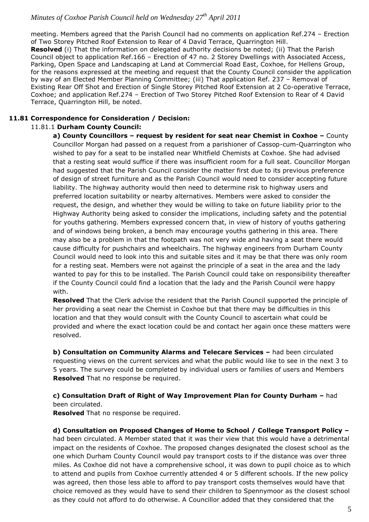meeting. Members agreed that the Parish Council had no comments on application Ref.274 – Erection of Two Storey Pitched Roof Extension to Rear of 4 David Terrace, Quarrington Hill. **Resolved** (i) That the information on delegated authority decisions be noted; (ii) That the Parish Council object to application Ref.166 – Erection of 47 no. 2 Storey Dwellings with Associated Access, Parking, Open Space and Landscaping at Land at Commercial Road East, Coxhoe, for Hellens Group, for the reasons expressed at the meeting and request that the County Council consider the application by way of an Elected Member Planning Committee; (iii) That application Ref. 237 – Removal of Existing Rear Off Shot and Erection of Single Storey Pitched Roof Extension at 2 Co-operative Terrace, Coxhoe; and application Ref.274 – Erection of Two Storey Pitched Roof Extension to Rear of 4 David Terrace, Quarrington Hill, be noted.

#### **11.81 Correspondence for Consideration / Decision:**

#### 11.81.1 **Durham County Council:**

**a) County Councillors – request by resident for seat near Chemist in Coxhoe –** County Councillor Morgan had passed on a request from a parishioner of Cassop-cum-Quarrington who wished to pay for a seat to be installed near Whitfield Chemists at Coxhoe. She had advised that a resting seat would suffice if there was insufficient room for a full seat. Councillor Morgan had suggested that the Parish Council consider the matter first due to its previous preference of design of street furniture and as the Parish Council would need to consider accepting future liability. The highway authority would then need to determine risk to highway users and preferred location suitability or nearby alternatives. Members were asked to consider the request, the design, and whether they would be willing to take on future liability prior to the Highway Authority being asked to consider the implications, including safety and the potential for youths gathering. Members expressed concern that, in view of history of youths gathering and of windows being broken, a bench may encourage youths gathering in this area. There may also be a problem in that the footpath was not very wide and having a seat there would cause difficulty for pushchairs and wheelchairs. The highway engineers from Durham County Council would need to look into this and suitable sites and it may be that there was only room for a resting seat. Members were not against the principle of a seat in the area and the lady wanted to pay for this to be installed. The Parish Council could take on responsibility thereafter if the County Council could find a location that the lady and the Parish Council were happy with.

**Resolved** That the Clerk advise the resident that the Parish Council supported the principle of her providing a seat near the Chemist in Coxhoe but that there may be difficulties in this location and that they would consult with the County Council to ascertain what could be provided and where the exact location could be and contact her again once these matters were resolved.

**b) Consultation on Community Alarms and Telecare Services - had been circulated** requesting views on the current services and what the public would like to see in the next 3 to 5 years. The survey could be completed by individual users or families of users and Members **Resolved** That no response be required.

#### **c) Consultation Draft of Right of Way Improvement Plan for County Durham –** had been circulated.

**Resolved** That no response be required.

**d) Consultation on Proposed Changes of Home to School / College Transport Policy –** had been circulated. A Member stated that it was their view that this would have a detrimental impact on the residents of Coxhoe. The proposed changes designated the closest school as the one which Durham County Council would pay transport costs to if the distance was over three miles. As Coxhoe did not have a comprehensive school, it was down to pupil choice as to which to attend and pupils from Coxhoe currently attended 4 or 5 different schools. If the new policy was agreed, then those less able to afford to pay transport costs themselves would have that choice removed as they would have to send their children to Spennymoor as the closest school as they could not afford to do otherwise. A Councillor added that they considered that the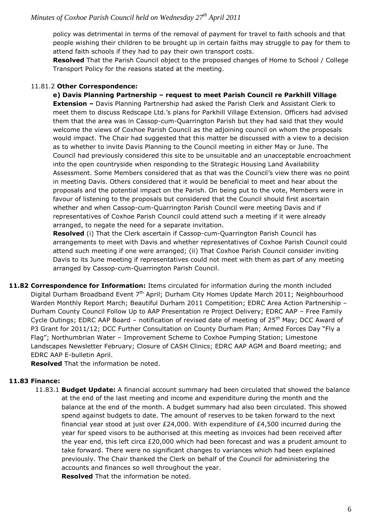policy was detrimental in terms of the removal of payment for travel to faith schools and that people wishing their children to be brought up in certain faiths may struggle to pay for them to attend faith schools if they had to pay their own transport costs.

**Resolved** That the Parish Council object to the proposed changes of Home to School / College Transport Policy for the reasons stated at the meeting.

#### 11.81.2 **Other Correspondence:**

**e) Davis Planning Partnership – request to meet Parish Council re Parkhill Village Extension –** Davis Planning Partnership had asked the Parish Clerk and Assistant Clerk to meet them to discuss Redscape Ltd.'s plans for Parkhill Village Extension. Officers had advised them that the area was in Cassop-cum-Quarrington Parish but they had said that they would welcome the views of Coxhoe Parish Council as the adjoining council on whom the proposals would impact. The Chair had suggested that this matter be discussed with a view to a decision as to whether to invite Davis Planning to the Council meeting in either May or June. The Council had previously considered this site to be unsuitable and an unacceptable encroachment into the open countryside when responding to the Strategic Housing Land Availability Assessment. Some Members considered that as that was the Council's view there was no point in meeting Davis. Others considered that it would be beneficial to meet and hear about the proposals and the potential impact on the Parish. On being put to the vote, Members were in favour of listening to the proposals but considered that the Council should first ascertain whether and when Cassop-cum-Quarrington Parish Council were meeting Davis and if representatives of Coxhoe Parish Council could attend such a meeting if it were already arranged, to negate the need for a separate invitation.

**Resolved** (i) That the Clerk ascertain if Cassop-cum-Quarrington Parish Council has arrangements to meet with Davis and whether representatives of Coxhoe Parish Council could attend such meeting if one were arranged; (ii) That Coxhoe Parish Council consider inviting Davis to its June meeting if representatives could not meet with them as part of any meeting arranged by Cassop-cum-Quarrington Parish Council.

**11.82 Correspondence for Information:** Items circulated for information during the month included Digital Durham Broadband Event 7<sup>th</sup> April; Durham City Homes Update March 2011; Neighbourhood Warden Monthly Report March; Beautiful Durham 2011 Competition; EDRC Area Action Partnership -Durham County Council Follow Up to AAP Presentation re Project Delivery; EDRC AAP – Free Family Cycle Outings; EDRC AAP Board – notification of revised date of meeting of 25<sup>th</sup> May; DCC Award of P3 Grant for 2011/12; DCC Further Consultation on County Durham Plan; Armed Forces Day "Fly a Flag"; Northumbrian Water – Improvement Scheme to Coxhoe Pumping Station; Limestone Landscapes Newsletter February; Closure of CASH Clinics; EDRC AAP AGM and Board meeting; and EDRC AAP E-bulletin April.

**Resolved** That the information be noted.

## **11.83 Finance:**

11.83.1 **Budget Update:** A financial account summary had been circulated that showed the balance at the end of the last meeting and income and expenditure during the month and the balance at the end of the month. A budget summary had also been circulated. This showed spend against budgets to date. The amount of reserves to be taken forward to the next financial year stood at just over £24,000. With expenditure of £4,500 incurred during the year for speed visors to be authorised at this meeting as invoices had been received after the year end, this left circa £20,000 which had been forecast and was a prudent amount to take forward. There were no significant changes to variances which had been explained previously. The Chair thanked the Clerk on behalf of the Council for administering the accounts and finances so well throughout the year. **Resolved** That the information be noted.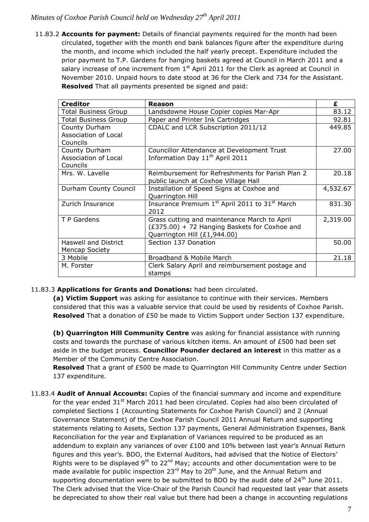11.83.2 **Accounts for payment:** Details of financial payments required for the month had been circulated, together with the month end bank balances figure after the expenditure during the month, and income which included the half yearly precept. Expenditure included the prior payment to T.P. Gardens for hanging baskets agreed at Council in March 2011 and a salary increase of one increment from  $1<sup>st</sup>$  April 2011 for the Clerk as agreed at Council in November 2010. Unpaid hours to date stood at 36 for the Clerk and 734 for the Assistant. **Resolved** That all payments presented be signed and paid:

| <b>Creditor</b>                                   | <b>Reason</b>                                                                                                                 | £        |
|---------------------------------------------------|-------------------------------------------------------------------------------------------------------------------------------|----------|
| <b>Total Business Group</b>                       | Landsdowne House Copier copies Mar-Apr                                                                                        | 83.12    |
| <b>Total Business Group</b>                       | Paper and Printer Ink Cartridges                                                                                              | 92.81    |
| County Durham<br>Association of Local<br>Councils | CDALC and LCR Subscription 2011/12                                                                                            | 449.85   |
| County Durham<br>Association of Local<br>Councils | Councillor Attendance at Development Trust<br>Information Day 11 <sup>th</sup> April 2011                                     | 27.00    |
| Mrs. W. Lavelle                                   | Reimbursement for Refreshments for Parish Plan 2<br>public launch at Coxhoe Village Hall                                      | 20.18    |
| Durham County Council                             | Installation of Speed Signs at Coxhoe and<br>Quarrington Hill                                                                 | 4,532.67 |
| Zurich Insurance                                  | Insurance Premium 1 <sup>st</sup> April 2011 to 31 <sup>st</sup> March<br>2012                                                | 831.30   |
| T P Gardens                                       | Grass cutting and maintenance March to April<br>(£375.00) + 72 Hanging Baskets for Coxhoe and<br>Quarrington Hill (£1,944.00) | 2,319.00 |
| <b>Haswell and District</b><br>Mencap Society     | Section 137 Donation                                                                                                          | 50.00    |
| 3 Mobile                                          | Broadband & Mobile March                                                                                                      | 21.18    |
| M. Forster                                        | Clerk Salary April and reimbursement postage and<br>stamps                                                                    |          |

## 11.83.3 **Applications for Grants and Donations:** had been circulated.

**(a) Victim Support** was asking for assistance to continue with their services. Members considered that this was a valuable service that could be used by residents of Coxhoe Parish. **Resolved** That a donation of £50 be made to Victim Support under Section 137 expenditure.

**(b) Quarrington Hill Community Centre** was asking for financial assistance with running costs and towards the purchase of various kitchen items. An amount of £500 had been set aside in the budget process. **Councillor Pounder declared an interest** in this matter as a Member of the Community Centre Association.

**Resolved** That a grant of £500 be made to Quarrington Hill Community Centre under Section 137 expenditure.

11.83.4 **Audit of Annual Accounts:** Copies of the financial summary and income and expenditure for the year ended  $31<sup>st</sup>$  March 2011 had been circulated. Copies had also been circulated of completed Sections 1 (Accounting Statements for Coxhoe Parish Council) and 2 (Annual Governance Statement) of the Coxhoe Parish Council 2011 Annual Return and supporting statements relating to Assets, Section 137 payments, General Administration Expenses, Bank Reconciliation for the year and Explanation of Variances required to be produced as an addendum to explain any variances of over £100 and 10% between last year's Annual Return figures and this year's. BDO, the External Auditors, had advised that the Notice of Electors' Rights were to be displayed  $9^{th}$  to 22<sup>nd</sup> May; accounts and other documentation were to be made available for public inspection 23<sup>rd</sup> May to 20<sup>th</sup> June, and the Annual Return and supporting documentation were to be submitted to BDO by the audit date of  $24<sup>th</sup>$  June 2011. The Clerk advised that the Vice-Chair of the Parish Council had requested last year that assets be depreciated to show their real value but there had been a change in accounting regulations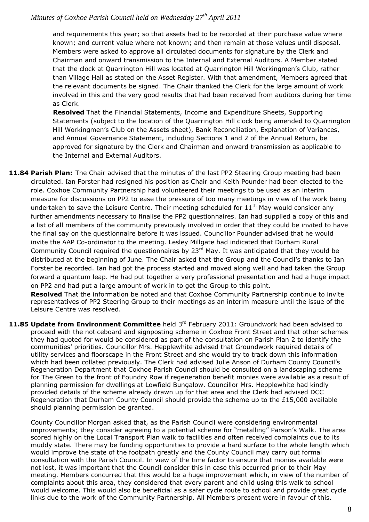and requirements this year; so that assets had to be recorded at their purchase value where known; and current value where not known; and then remain at those values until disposal. Members were asked to approve all circulated documents for signature by the Clerk and Chairman and onward transmission to the Internal and External Auditors. A Member stated that the clock at Quarrington Hill was located at Quarrington Hill Workingmen's Club, rather than Village Hall as stated on the Asset Register. With that amendment, Members agreed that the relevant documents be signed. The Chair thanked the Clerk for the large amount of work involved in this and the very good results that had been received from auditors during her time as Clerk.

**Resolved** That the Financial Statements, Income and Expenditure Sheets, Supporting Statements (subject to the location of the Quarrington Hill clock being amended to Quarrington Hill Workingmen's Club on the Assets sheet), Bank Reconciliation, Explanation of Variances, and Annual Governance Statement, including Sections 1 and 2 of the Annual Return, be approved for signature by the Clerk and Chairman and onward transmission as applicable to the Internal and External Auditors.

**11.84 Parish Plan:** The Chair advised that the minutes of the last PP2 Steering Group meeting had been circulated. Ian Forster had resigned his position as Chair and Keith Pounder had been elected to the role. Coxhoe Community Partnership had volunteered their meetings to be used as an interim measure for discussions on PP2 to ease the pressure of too many meetings in view of the work being undertaken to save the Leisure Centre. Their meeting scheduled for  $11<sup>th</sup>$  May would consider any further amendments necessary to finalise the PP2 questionnaires. Ian had supplied a copy of this and a list of all members of the community previously involved in order that they could be invited to have the final say on the questionnaire before it was issued. Councillor Pounder advised that he would invite the AAP Co-ordinator to the meeting. Lesley Millgate had indicated that Durham Rural Community Council required the questionnaires by 23<sup>rd</sup> May. It was anticipated that they would be distributed at the beginning of June. The Chair asked that the Group and the Council's thanks to Ian Forster be recorded. Ian had got the process started and moved along well and had taken the Group forward a quantum leap. He had put together a very professional presentation and had a huge impact on PP2 and had put a large amount of work in to get the Group to this point.

**Resolved** That the information be noted and that Coxhoe Community Partnership continue to invite representatives of PP2 Steering Group to their meetings as an interim measure until the issue of the Leisure Centre was resolved.

11.85 Update from Environment Committee held 3<sup>rd</sup> February 2011: Groundwork had been advised to proceed with the noticeboard and signposting scheme in Coxhoe Front Street and that other schemes they had quoted for would be considered as part of the consultation on Parish Plan 2 to identify the communities' priorities. Councillor Mrs. Hepplewhite advised that Groundwork required details of utility services and floorscape in the Front Street and she would try to track down this information which had been collated previously. The Clerk had advised Julie Anson of Durham County Council's Regeneration Department that Coxhoe Parish Council should be consulted on a landscaping scheme for The Green to the front of Foundry Row if regeneration benefit monies were available as a result of planning permission for dwellings at Lowfield Bungalow. Councillor Mrs. Hepplewhite had kindly provided details of the scheme already drawn up for that area and the Clerk had advised DCC Regeneration that Durham County Council should provide the scheme up to the £15,000 available should planning permission be granted.

County Councillor Morgan asked that, as the Parish Council were considering environmental improvements; they consider agreeing to a potential scheme for "metalling" Parson's Walk. The area scored highly on the Local Transport Plan walk to facilities and often received complaints due to its muddy state. There may be funding opportunities to provide a hard surface to the whole length which would improve the state of the footpath greatly and the County Council may carry out formal consultation with the Parish Council. In view of the time factor to ensure that monies available were not lost, it was important that the Council consider this in case this occurred prior to their May meeting. Members concurred that this would be a huge improvement which, in view of the number of complaints about this area, they considered that every parent and child using this walk to school would welcome. This would also be beneficial as a safer cycle route to school and provide great cycle links due to the work of the Community Partnership. All Members present were in favour of this.